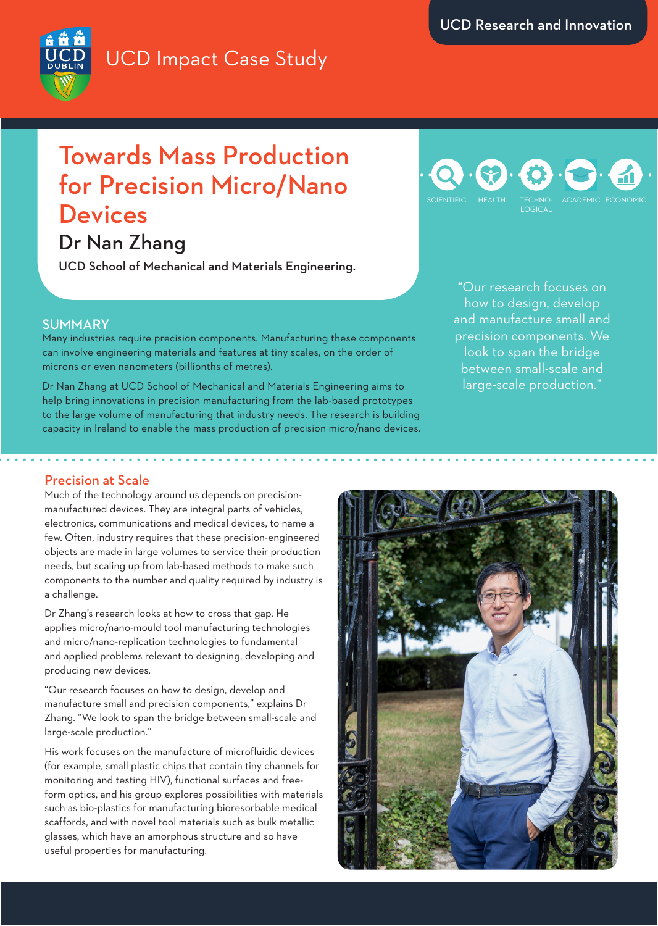## UCD Impact Case Study

# Towards Mass Production for Precision Micro/Nano **Devices**

### Dr Nan Zhang

UCD School of Mechanical and Materials Engineering.

### LOGICAL SCIENTIFIC HEALTH TECHNO- ACADEMIC ECONOMIC

"Our research focuses on how to design, develop and manufacture small and precision components. We look to span the bridge between small-scale and large-scale production."

### SUMMARY

Many industries require precision components. Manufacturing these components can involve engineering materials and features at tiny scales, on the order of microns or even nanometers (billionths of metres).

Dr Nan Zhang at UCD School of Mechanical and Materials Engineering aims to help bring innovations in precision manufacturing from the lab-based prototypes to the large volume of manufacturing that industry needs. The research is building capacity in Ireland to enable the mass production of precision micro/nano devices.

### Precision at Scale

Much of the technology around us depends on precisionmanufactured devices. They are integral parts of vehicles, electronics, communications and medical devices, to name a few. Often, industry requires that these precision-engineered objects are made in large volumes to service their production needs, but scaling up from lab-based methods to make such components to the number and quality required by industry is a challenge.

Dr Zhang's research looks at how to cross that gap. He applies micro/nano-mould tool manufacturing technologies and micro/nano-replication technologies to fundamental and applied problems relevant to designing, developing and producing new devices.

"Our research focuses on how to design, develop and manufacture small and precision components," explains Dr Zhang. "We look to span the bridge between small-scale and large-scale production."

His work focuses on the manufacture of microfluidic devices (for example, small plastic chips that contain tiny channels for monitoring and testing HIV), functional surfaces and freeform optics, and his group explores possibilities with materials such as bio-plastics for manufacturing bioresorbable medical scaffords, and with novel tool materials such as bulk metallic glasses, which have an amorphous structure and so have useful properties for manufacturing.



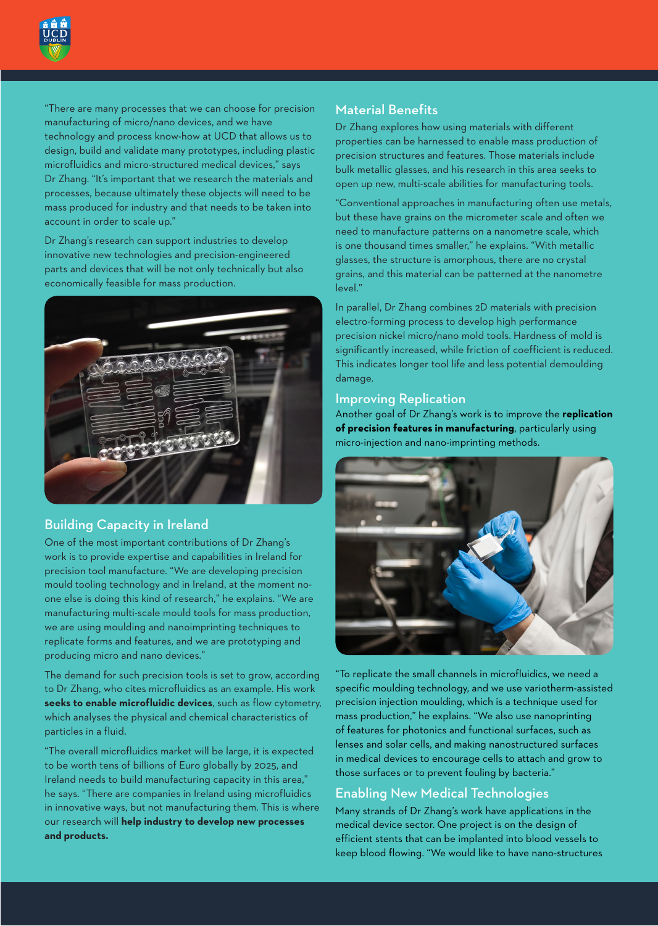

"There are many processes that we can choose for precision manufacturing of micro/nano devices, and we have technology and process know-how at UCD that allows us to design, build and validate many prototypes, including plastic microfluidics and micro-structured medical devices," says Dr Zhang. "It's important that we research the materials and processes, because ultimately these objects will need to be mass produced for industry and that needs to be taken into account in order to scale up."

Dr Zhang's research can support industries to develop innovative new technologies and precision-engineered parts and devices that will be not only technically but also economically feasible for mass production.



#### Building Capacity in Ireland

One of the most important contributions of Dr Zhang's work is to provide expertise and capabilities in Ireland for precision tool manufacture. "We are developing precision mould tooling technology and in Ireland, at the moment noone else is doing this kind of research," he explains. "We are manufacturing multi-scale mould tools for mass production, we are using moulding and nanoimprinting techniques to replicate forms and features, and we are prototyping and producing micro and nano devices."

The demand for such precision tools is set to grow, according to Dr Zhang, who cites microfluidics as an example. His work **seeks to enable microfluidic devices**, such as flow cytometry, which analyses the physical and chemical characteristics of particles in a fluid.

"The overall microfluidics market will be large, it is expected to be worth tens of billions of Euro globally by 2025, and Ireland needs to build manufacturing capacity in this area," he says. "There are companies in Ireland using microfluidics in innovative ways, but not manufacturing them. This is where our research will **help industry to develop new processes and products.**

#### Material Benefits

Dr Zhang explores how using materials with different properties can be harnessed to enable mass production of precision structures and features. Those materials include bulk metallic glasses, and his research in this area seeks to open up new, multi-scale abilities for manufacturing tools.

"Conventional approaches in manufacturing often use metals, but these have grains on the micrometer scale and often we need to manufacture patterns on a nanometre scale, which is one thousand times smaller," he explains. "With metallic glasses, the structure is amorphous, there are no crystal grains, and this material can be patterned at the nanometre level."

In parallel, Dr Zhang combines 2D materials with precision electro-forming process to develop high performance precision nickel micro/nano mold tools. Hardness of mold is significantly increased, while friction of coefficient is reduced. This indicates longer tool life and less potential demoulding damage.

#### Improving Replication

Another goal of Dr Zhang's work is to improve the **replication of precision features in manufacturing**, particularly using micro-injection and nano-imprinting methods.



"To replicate the small channels in microfluidics, we need a specific moulding technology, and we use variotherm-assisted precision injection moulding, which is a technique used for mass production," he explains. "We also use nanoprinting of features for photonics and functional surfaces, such as lenses and solar cells, and making nanostructured surfaces in medical devices to encourage cells to attach and grow to those surfaces or to prevent fouling by bacteria."

#### Enabling New Medical Technologies

Many strands of Dr Zhang's work have applications in the medical device sector. One project is on the design of efficient stents that can be implanted into blood vessels to keep blood flowing. "We would like to have nano-structures